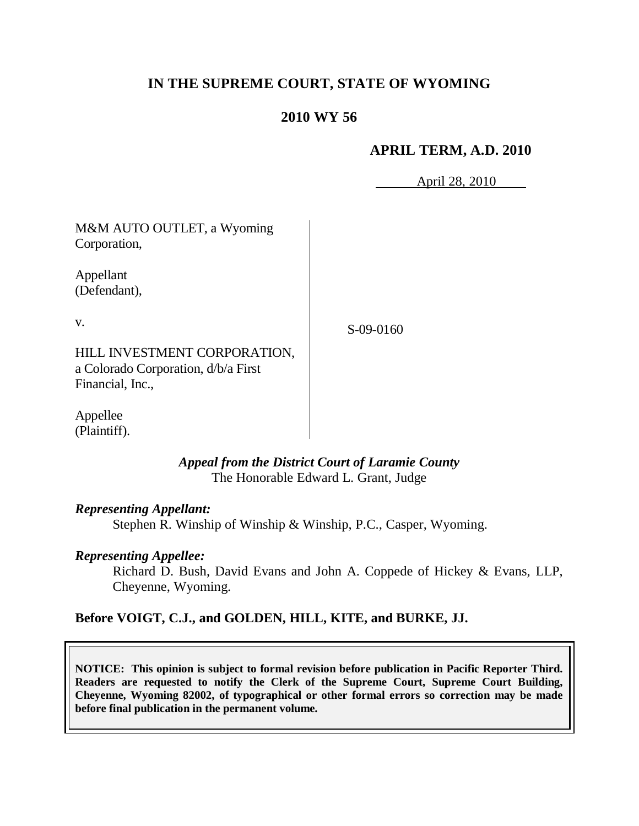# **IN THE SUPREME COURT, STATE OF WYOMING**

## **2010 WY 56**

### **APRIL TERM, A.D. 2010**

April 28, 2010

| M&M AUTO OUTLET, a Wyoming<br>Corporation,                                              |             |
|-----------------------------------------------------------------------------------------|-------------|
| Appellant<br>(Defendant),                                                               |             |
| V.                                                                                      | $S-09-0160$ |
| HILL INVESTMENT CORPORATION,<br>a Colorado Corporation, d/b/a First<br>Financial, Inc., |             |

Appellee (Plaintiff).

#### *Appeal from the District Court of Laramie County* The Honorable Edward L. Grant, Judge

#### *Representing Appellant:*

Stephen R. Winship of Winship & Winship, P.C., Casper, Wyoming.

#### *Representing Appellee:*

Richard D. Bush, David Evans and John A. Coppede of Hickey & Evans, LLP, Cheyenne, Wyoming.

## **Before VOIGT, C.J., and GOLDEN, HILL, KITE, and BURKE, JJ.**

**NOTICE: This opinion is subject to formal revision before publication in Pacific Reporter Third. Readers are requested to notify the Clerk of the Supreme Court, Supreme Court Building, Cheyenne, Wyoming 82002, of typographical or other formal errors so correction may be made before final publication in the permanent volume.**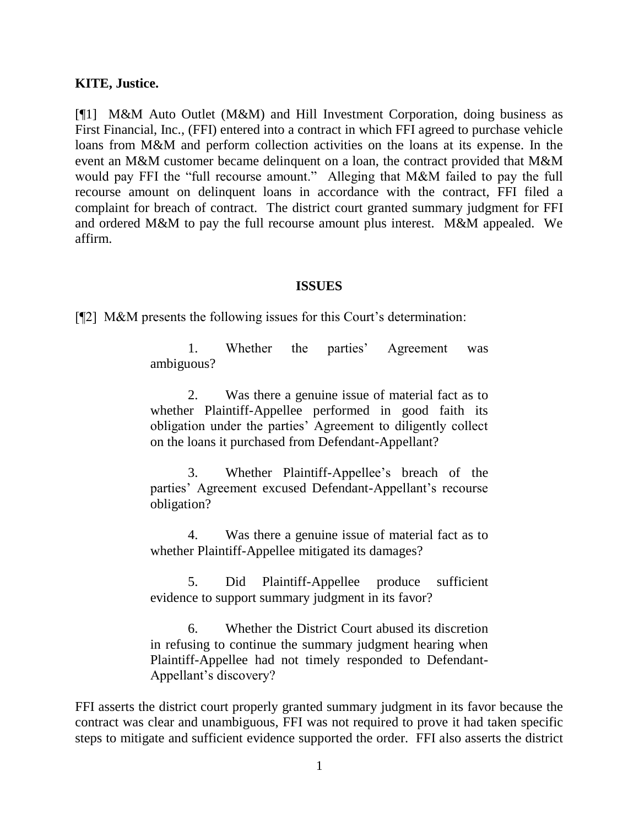#### **KITE, Justice.**

[¶1] M&M Auto Outlet (M&M) and Hill Investment Corporation, doing business as First Financial, Inc., (FFI) entered into a contract in which FFI agreed to purchase vehicle loans from M&M and perform collection activities on the loans at its expense. In the event an M&M customer became delinquent on a loan, the contract provided that M&M would pay FFI the "full recourse amount." Alleging that M&M failed to pay the full recourse amount on delinquent loans in accordance with the contract, FFI filed a complaint for breach of contract. The district court granted summary judgment for FFI and ordered M&M to pay the full recourse amount plus interest. M&M appealed. We affirm.

#### **ISSUES**

 $[$ [2] M&M presents the following issues for this Court's determination:

1. Whether the parties' Agreement was ambiguous?

2. Was there a genuine issue of material fact as to whether Plaintiff-Appellee performed in good faith its obligation under the parties" Agreement to diligently collect on the loans it purchased from Defendant-Appellant?

3. Whether Plaintiff-Appellee"s breach of the parties" Agreement excused Defendant-Appellant"s recourse obligation?

4. Was there a genuine issue of material fact as to whether Plaintiff-Appellee mitigated its damages?

5. Did Plaintiff-Appellee produce sufficient evidence to support summary judgment in its favor?

6. Whether the District Court abused its discretion in refusing to continue the summary judgment hearing when Plaintiff-Appellee had not timely responded to Defendant-Appellant"s discovery?

FFI asserts the district court properly granted summary judgment in its favor because the contract was clear and unambiguous, FFI was not required to prove it had taken specific steps to mitigate and sufficient evidence supported the order. FFI also asserts the district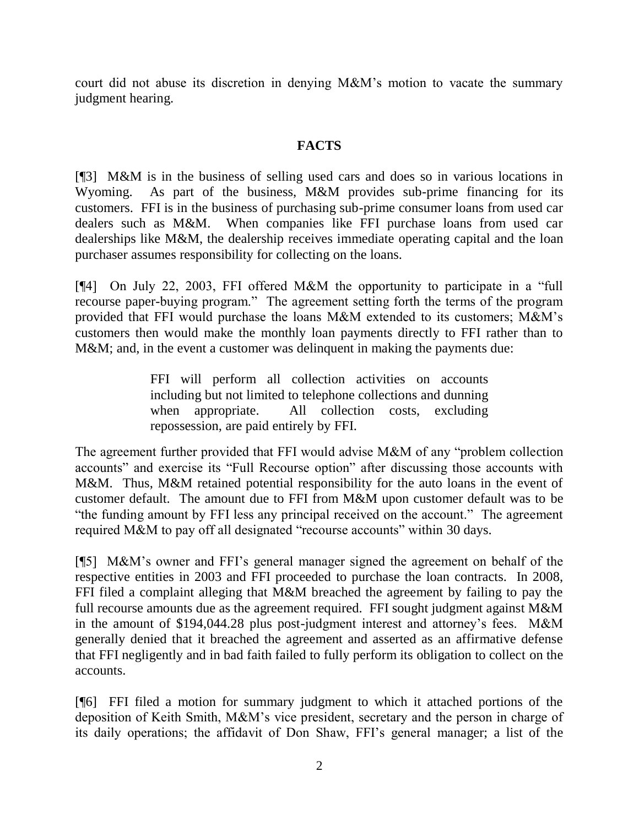court did not abuse its discretion in denying M&M"s motion to vacate the summary judgment hearing.

## **FACTS**

[¶3] M&M is in the business of selling used cars and does so in various locations in Wyoming. As part of the business, M&M provides sub-prime financing for its customers. FFI is in the business of purchasing sub-prime consumer loans from used car dealers such as M&M. When companies like FFI purchase loans from used car dealerships like M&M, the dealership receives immediate operating capital and the loan purchaser assumes responsibility for collecting on the loans.

[¶4] On July 22, 2003, FFI offered M&M the opportunity to participate in a "full recourse paper-buying program." The agreement setting forth the terms of the program provided that FFI would purchase the loans M&M extended to its customers; M&M"s customers then would make the monthly loan payments directly to FFI rather than to M&M; and, in the event a customer was delinquent in making the payments due:

> FFI will perform all collection activities on accounts including but not limited to telephone collections and dunning when appropriate. All collection costs, excluding repossession, are paid entirely by FFI.

The agreement further provided that FFI would advise M&M of any "problem collection accounts" and exercise its "Full Recourse option" after discussing those accounts with M&M. Thus, M&M retained potential responsibility for the auto loans in the event of customer default. The amount due to FFI from M&M upon customer default was to be "the funding amount by FFI less any principal received on the account." The agreement required M&M to pay off all designated "recourse accounts" within 30 days.

[¶5] M&M"s owner and FFI"s general manager signed the agreement on behalf of the respective entities in 2003 and FFI proceeded to purchase the loan contracts. In 2008, FFI filed a complaint alleging that M&M breached the agreement by failing to pay the full recourse amounts due as the agreement required. FFI sought judgment against M&M in the amount of \$194,044.28 plus post-judgment interest and attorney"s fees. M&M generally denied that it breached the agreement and asserted as an affirmative defense that FFI negligently and in bad faith failed to fully perform its obligation to collect on the accounts.

[¶6] FFI filed a motion for summary judgment to which it attached portions of the deposition of Keith Smith, M&M"s vice president, secretary and the person in charge of its daily operations; the affidavit of Don Shaw, FFI"s general manager; a list of the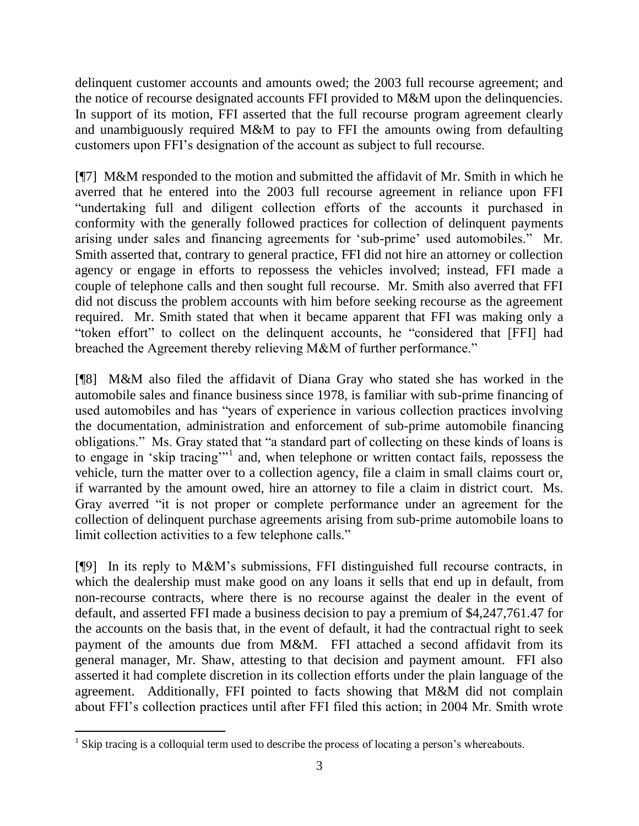delinquent customer accounts and amounts owed; the 2003 full recourse agreement; and the notice of recourse designated accounts FFI provided to M&M upon the delinquencies. In support of its motion, FFI asserted that the full recourse program agreement clearly and unambiguously required M&M to pay to FFI the amounts owing from defaulting customers upon FFI"s designation of the account as subject to full recourse.

[¶7] M&M responded to the motion and submitted the affidavit of Mr. Smith in which he averred that he entered into the 2003 full recourse agreement in reliance upon FFI "undertaking full and diligent collection efforts of the accounts it purchased in conformity with the generally followed practices for collection of delinquent payments arising under sales and financing agreements for "sub-prime" used automobiles." Mr. Smith asserted that, contrary to general practice, FFI did not hire an attorney or collection agency or engage in efforts to repossess the vehicles involved; instead, FFI made a couple of telephone calls and then sought full recourse. Mr. Smith also averred that FFI did not discuss the problem accounts with him before seeking recourse as the agreement required. Mr. Smith stated that when it became apparent that FFI was making only a "token effort" to collect on the delinquent accounts, he "considered that [FFI] had breached the Agreement thereby relieving M&M of further performance."

[¶8] M&M also filed the affidavit of Diana Gray who stated she has worked in the automobile sales and finance business since 1978, is familiar with sub-prime financing of used automobiles and has "years of experience in various collection practices involving the documentation, administration and enforcement of sub-prime automobile financing obligations." Ms. Gray stated that "a standard part of collecting on these kinds of loans is to engage in 'skip tracing'"<sup>1</sup> and, when telephone or written contact fails, repossess the vehicle, turn the matter over to a collection agency, file a claim in small claims court or, if warranted by the amount owed, hire an attorney to file a claim in district court. Ms. Gray averred "it is not proper or complete performance under an agreement for the collection of delinquent purchase agreements arising from sub-prime automobile loans to limit collection activities to a few telephone calls."

[¶9] In its reply to M&M"s submissions, FFI distinguished full recourse contracts, in which the dealership must make good on any loans it sells that end up in default, from non-recourse contracts, where there is no recourse against the dealer in the event of default, and asserted FFI made a business decision to pay a premium of \$4,247,761.47 for the accounts on the basis that, in the event of default, it had the contractual right to seek payment of the amounts due from M&M. FFI attached a second affidavit from its general manager, Mr. Shaw, attesting to that decision and payment amount. FFI also asserted it had complete discretion in its collection efforts under the plain language of the agreement. Additionally, FFI pointed to facts showing that M&M did not complain about FFI"s collection practices until after FFI filed this action; in 2004 Mr. Smith wrote

 $\overline{a}$ <sup>1</sup> Skip tracing is a colloquial term used to describe the process of locating a person's whereabouts.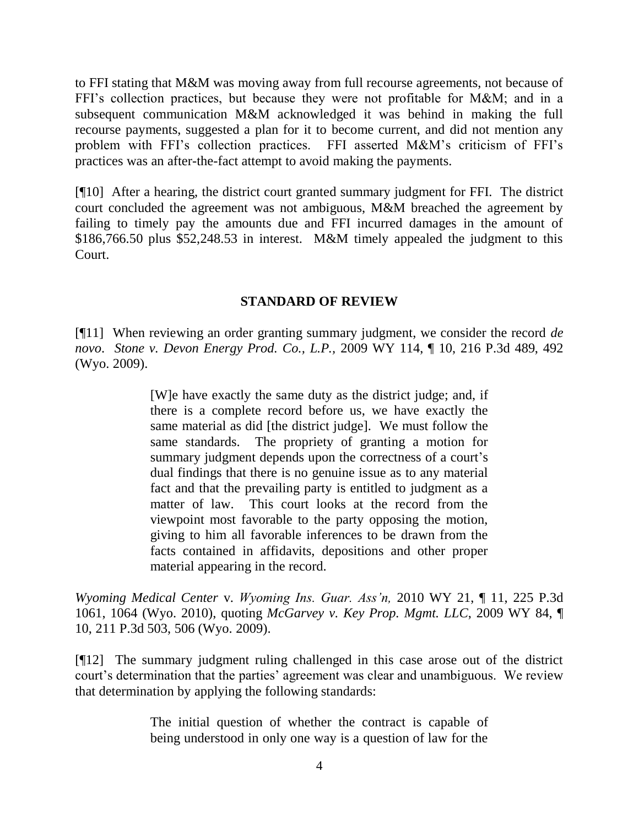to FFI stating that M&M was moving away from full recourse agreements, not because of FFI"s collection practices, but because they were not profitable for M&M; and in a subsequent communication M&M acknowledged it was behind in making the full recourse payments, suggested a plan for it to become current, and did not mention any problem with FFI's collection practices. FFI asserted M&M's criticism of FFI's practices was an after-the-fact attempt to avoid making the payments.

[¶10] After a hearing, the district court granted summary judgment for FFI. The district court concluded the agreement was not ambiguous, M&M breached the agreement by failing to timely pay the amounts due and FFI incurred damages in the amount of \$186,766.50 plus \$52,248.53 in interest. M&M timely appealed the judgment to this Court.

#### **STANDARD OF REVIEW**

[¶11] When reviewing an order granting summary judgment, we consider the record *de novo*. *Stone v. Devon Energy Prod. Co., L.P.,* 2009 WY 114, ¶ 10, 216 P.3d 489, 492 (Wyo. 2009).

> [W]e have exactly the same duty as the district judge; and, if there is a complete record before us, we have exactly the same material as did [the district judge]. We must follow the same standards. The propriety of granting a motion for summary judgment depends upon the correctness of a court's dual findings that there is no genuine issue as to any material fact and that the prevailing party is entitled to judgment as a matter of law. This court looks at the record from the viewpoint most favorable to the party opposing the motion, giving to him all favorable inferences to be drawn from the facts contained in affidavits, depositions and other proper material appearing in the record.

*Wyoming Medical Center* v. *Wyoming Ins. Guar. Ass'n,* 2010 WY 21, ¶ 11, 225 P.3d 1061, 1064 (Wyo. 2010), quoting *McGarvey v. Key Prop. Mgmt. LLC*, 2009 WY 84, ¶ 10, 211 P.3d 503, 506 (Wyo. 2009).

[¶12] The summary judgment ruling challenged in this case arose out of the district court's determination that the parties' agreement was clear and unambiguous. We review that determination by applying the following standards:

> The initial question of whether the contract is capable of being understood in only one way is a question of law for the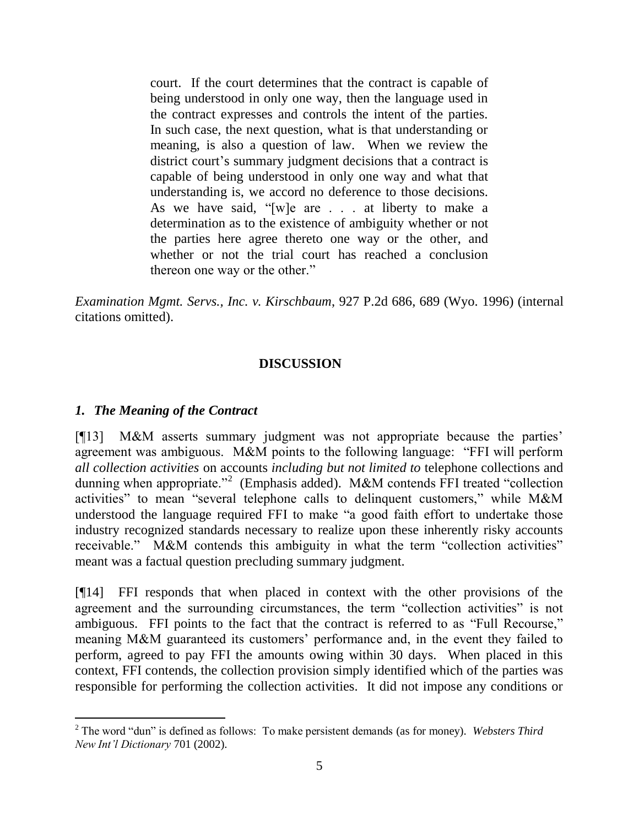court. If the court determines that the contract is capable of being understood in only one way, then the language used in the contract expresses and controls the intent of the parties. In such case, the next question, what is that understanding or meaning, is also a question of law. When we review the district court's summary judgment decisions that a contract is capable of being understood in only one way and what that understanding is, we accord no deference to those decisions. As we have said, "[w]e are . . . at liberty to make a determination as to the existence of ambiguity whether or not the parties here agree thereto one way or the other, and whether or not the trial court has reached a conclusion thereon one way or the other."

*Examination Mgmt. Servs., Inc. v. Kirschbaum*, 927 P.2d 686, 689 (Wyo. 1996) (internal citations omitted).

# **DISCUSSION**

# *1. The Meaning of the Contract*

[¶13] M&M asserts summary judgment was not appropriate because the parties' agreement was ambiguous. M&M points to the following language: "FFI will perform *all collection activities* on accounts *including but not limited to* telephone collections and dunning when appropriate."<sup>2</sup> (Emphasis added). M&M contends FFI treated "collection activities" to mean "several telephone calls to delinquent customers," while M&M understood the language required FFI to make "a good faith effort to undertake those industry recognized standards necessary to realize upon these inherently risky accounts receivable." M&M contends this ambiguity in what the term "collection activities" meant was a factual question precluding summary judgment.

[¶14] FFI responds that when placed in context with the other provisions of the agreement and the surrounding circumstances, the term "collection activities" is not ambiguous. FFI points to the fact that the contract is referred to as "Full Recourse," meaning M&M guaranteed its customers' performance and, in the event they failed to perform, agreed to pay FFI the amounts owing within 30 days. When placed in this context, FFI contends, the collection provision simply identified which of the parties was responsible for performing the collection activities. It did not impose any conditions or

 $\overline{a}$ <sup>2</sup> The word "dun" is defined as follows: To make persistent demands (as for money). *Websters Third New Int'l Dictionary* 701 (2002).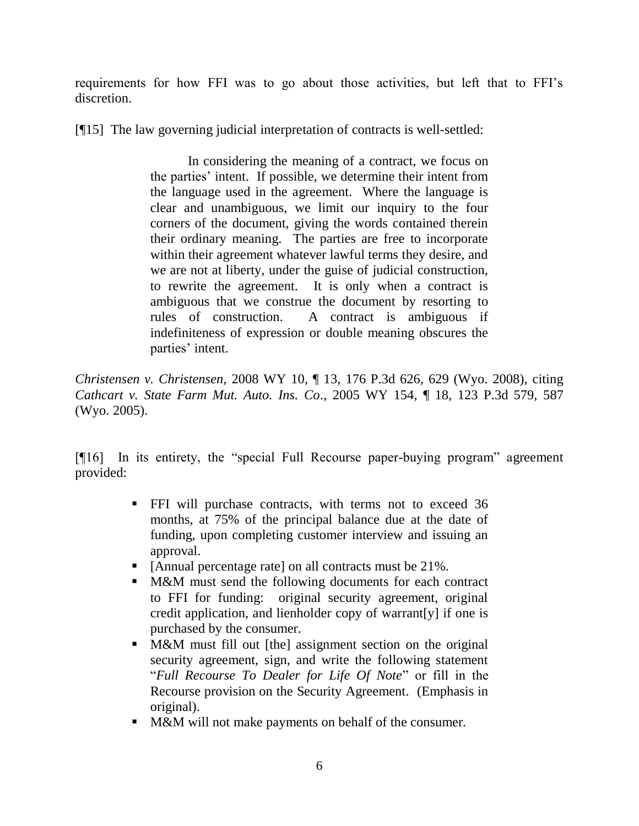requirements for how FFI was to go about those activities, but left that to FFI"s discretion.

[¶15] The law governing judicial interpretation of contracts is well-settled:

In considering the meaning of a contract, we focus on the parties' intent. If possible, we determine their intent from the language used in the agreement. Where the language is clear and unambiguous, we limit our inquiry to the four corners of the document, giving the words contained therein their ordinary meaning. The parties are free to incorporate within their agreement whatever lawful terms they desire, and we are not at liberty, under the guise of judicial construction, to rewrite the agreement. It is only when a contract is ambiguous that we construe the document by resorting to rules of construction. A contract is ambiguous if indefiniteness of expression or double meaning obscures the parties' intent.

*Christensen v. Christensen,* 2008 WY 10, ¶ 13, 176 P.3d 626, 629 (Wyo. 2008), citing *Cathcart v. State Farm Mut. Auto. Ins. Co*., 2005 WY 154, ¶ 18, 123 P.3d 579, 587 (Wyo. 2005).

[¶16] In its entirety, the "special Full Recourse paper-buying program" agreement provided:

- FFI will purchase contracts, with terms not to exceed 36 months, at 75% of the principal balance due at the date of funding, upon completing customer interview and issuing an approval.
- [Annual percentage rate] on all contracts must be 21%.
- **M&M** must send the following documents for each contract to FFI for funding: original security agreement, original credit application, and lienholder copy of warrant[y] if one is purchased by the consumer.
- **M&M** must fill out [the] assignment section on the original security agreement, sign, and write the following statement "*Full Recourse To Dealer for Life Of Note*" or fill in the Recourse provision on the Security Agreement. (Emphasis in original).
- M&M will not make payments on behalf of the consumer.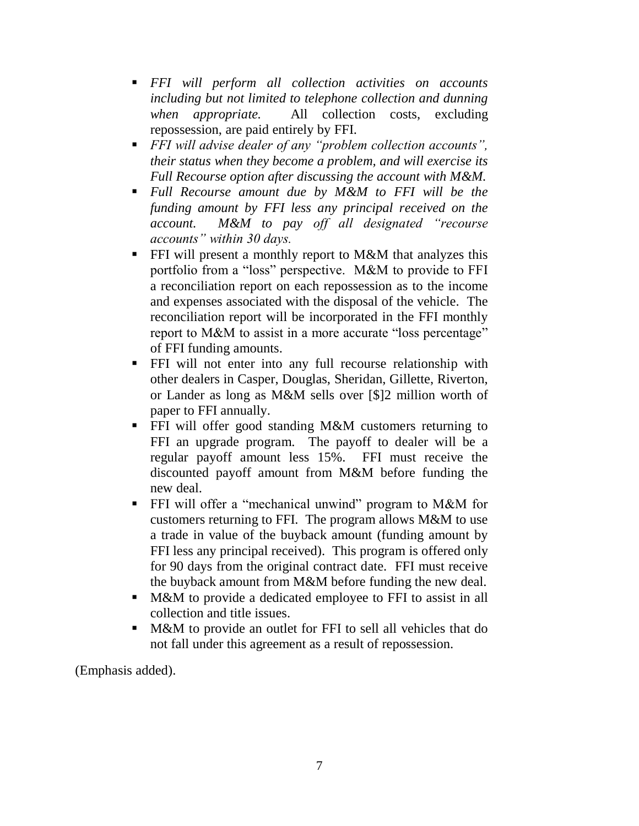- *FFI will perform all collection activities on accounts including but not limited to telephone collection and dunning when appropriate.* All collection costs, excluding repossession, are paid entirely by FFI.
- *FFI will advise dealer of any "problem collection accounts", their status when they become a problem, and will exercise its Full Recourse option after discussing the account with M&M.*
- *Full Recourse amount due by M&M to FFI will be the funding amount by FFI less any principal received on the account. M&M to pay off all designated "recourse accounts" within 30 days.*
- FFI will present a monthly report to M&M that analyzes this portfolio from a "loss" perspective. M&M to provide to FFI a reconciliation report on each repossession as to the income and expenses associated with the disposal of the vehicle. The reconciliation report will be incorporated in the FFI monthly report to M&M to assist in a more accurate "loss percentage" of FFI funding amounts.
- FFI will not enter into any full recourse relationship with other dealers in Casper, Douglas, Sheridan, Gillette, Riverton, or Lander as long as M&M sells over [\$]2 million worth of paper to FFI annually.
- FFI will offer good standing M&M customers returning to FFI an upgrade program. The payoff to dealer will be a regular payoff amount less 15%. FFI must receive the discounted payoff amount from M&M before funding the new deal.
- FFI will offer a "mechanical unwind" program to M&M for customers returning to FFI. The program allows M&M to use a trade in value of the buyback amount (funding amount by FFI less any principal received). This program is offered only for 90 days from the original contract date. FFI must receive the buyback amount from M&M before funding the new deal.
- M&M to provide a dedicated employee to FFI to assist in all collection and title issues.
- **M&M** to provide an outlet for FFI to sell all vehicles that do not fall under this agreement as a result of repossession.

(Emphasis added).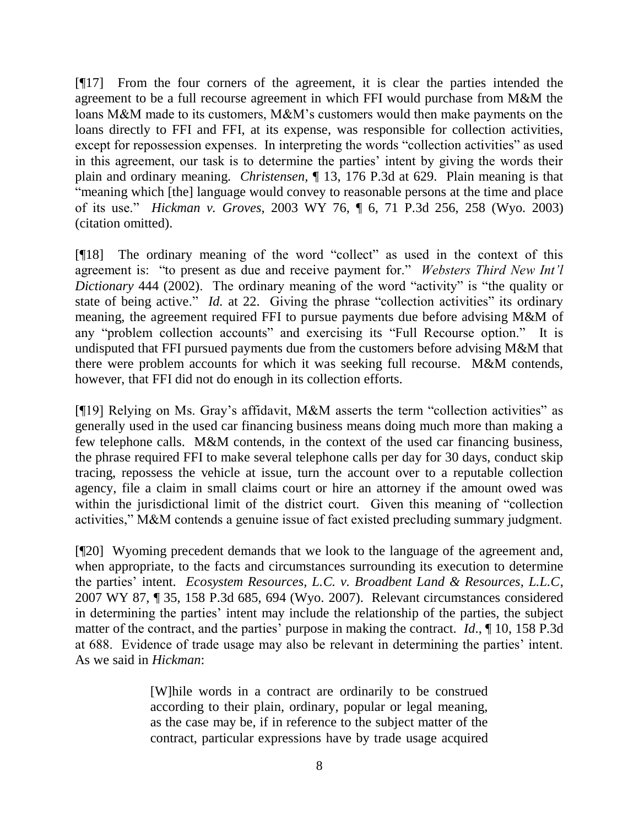[¶17] From the four corners of the agreement, it is clear the parties intended the agreement to be a full recourse agreement in which FFI would purchase from M&M the loans M&M made to its customers, M&M"s customers would then make payments on the loans directly to FFI and FFI, at its expense, was responsible for collection activities, except for repossession expenses. In interpreting the words "collection activities" as used in this agreement, our task is to determine the parties' intent by giving the words their plain and ordinary meaning. *Christensen,* ¶ 13, 176 P.3d at 629. Plain meaning is that "meaning which [the] language would convey to reasonable persons at the time and place of its use." *Hickman v. Groves*, 2003 WY 76, ¶ 6, 71 P.3d 256, 258 (Wyo. 2003) (citation omitted).

[¶18] The ordinary meaning of the word "collect" as used in the context of this agreement is: "to present as due and receive payment for." *Websters Third New Int'l Dictionary* 444 (2002). The ordinary meaning of the word "activity" is "the quality or state of being active." *Id.* at 22. Giving the phrase "collection activities" its ordinary meaning, the agreement required FFI to pursue payments due before advising M&M of any "problem collection accounts" and exercising its "Full Recourse option." It is undisputed that FFI pursued payments due from the customers before advising M&M that there were problem accounts for which it was seeking full recourse. M&M contends, however, that FFI did not do enough in its collection efforts.

[¶19] Relying on Ms. Gray's affidavit, M&M asserts the term "collection activities" as generally used in the used car financing business means doing much more than making a few telephone calls. M&M contends, in the context of the used car financing business, the phrase required FFI to make several telephone calls per day for 30 days, conduct skip tracing, repossess the vehicle at issue, turn the account over to a reputable collection agency, file a claim in small claims court or hire an attorney if the amount owed was within the jurisdictional limit of the district court. Given this meaning of "collection activities," M&M contends a genuine issue of fact existed precluding summary judgment.

[¶20] Wyoming precedent demands that we look to the language of the agreement and, when appropriate, to the facts and circumstances surrounding its execution to determine the parties" intent. *Ecosystem Resources, L.C. v. Broadbent Land & Resources, L.L.C*, 2007 WY 87, ¶ 35, 158 P.3d 685, 694 (Wyo. 2007). Relevant circumstances considered in determining the parties' intent may include the relationship of the parties, the subject matter of the contract, and the parties' purpose in making the contract. *Id.*, 10, 158 P.3d at 688. Evidence of trade usage may also be relevant in determining the parties" intent. As we said in *Hickman*:

> [W]hile words in a contract are ordinarily to be construed according to their plain, ordinary, popular or legal meaning, as the case may be, if in reference to the subject matter of the contract, particular expressions have by trade usage acquired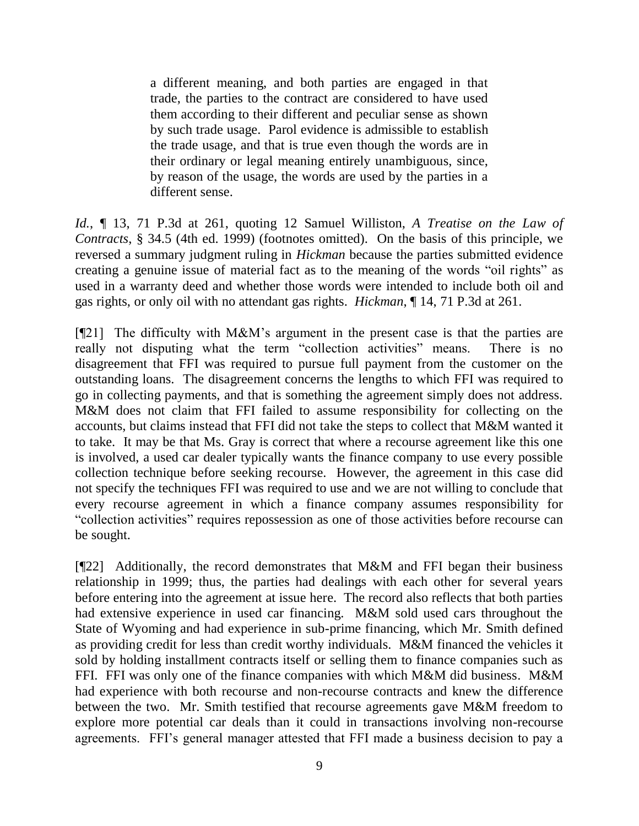a different meaning, and both parties are engaged in that trade, the parties to the contract are considered to have used them according to their different and peculiar sense as shown by such trade usage. Parol evidence is admissible to establish the trade usage, and that is true even though the words are in their ordinary or legal meaning entirely unambiguous, since, by reason of the usage, the words are used by the parties in a different sense.

*Id.*, ¶ 13, 71 P.3d at 261, quoting 12 Samuel Williston, *A Treatise on the Law of Contracts*, § 34.5 (4th ed. 1999) (footnotes omitted). On the basis of this principle, we reversed a summary judgment ruling in *Hickman* because the parties submitted evidence creating a genuine issue of material fact as to the meaning of the words "oil rights" as used in a warranty deed and whether those words were intended to include both oil and gas rights, or only oil with no attendant gas rights. *Hickman*, ¶ 14, 71 P.3d at 261.

[¶21] The difficulty with M&M"s argument in the present case is that the parties are really not disputing what the term "collection activities" means. There is no disagreement that FFI was required to pursue full payment from the customer on the outstanding loans. The disagreement concerns the lengths to which FFI was required to go in collecting payments, and that is something the agreement simply does not address. M&M does not claim that FFI failed to assume responsibility for collecting on the accounts, but claims instead that FFI did not take the steps to collect that M&M wanted it to take. It may be that Ms. Gray is correct that where a recourse agreement like this one is involved, a used car dealer typically wants the finance company to use every possible collection technique before seeking recourse. However, the agreement in this case did not specify the techniques FFI was required to use and we are not willing to conclude that every recourse agreement in which a finance company assumes responsibility for "collection activities" requires repossession as one of those activities before recourse can be sought.

[¶22] Additionally, the record demonstrates that M&M and FFI began their business relationship in 1999; thus, the parties had dealings with each other for several years before entering into the agreement at issue here. The record also reflects that both parties had extensive experience in used car financing. M&M sold used cars throughout the State of Wyoming and had experience in sub-prime financing, which Mr. Smith defined as providing credit for less than credit worthy individuals. M&M financed the vehicles it sold by holding installment contracts itself or selling them to finance companies such as FFI. FFI was only one of the finance companies with which M&M did business. M&M had experience with both recourse and non-recourse contracts and knew the difference between the two. Mr. Smith testified that recourse agreements gave M&M freedom to explore more potential car deals than it could in transactions involving non-recourse agreements. FFI"s general manager attested that FFI made a business decision to pay a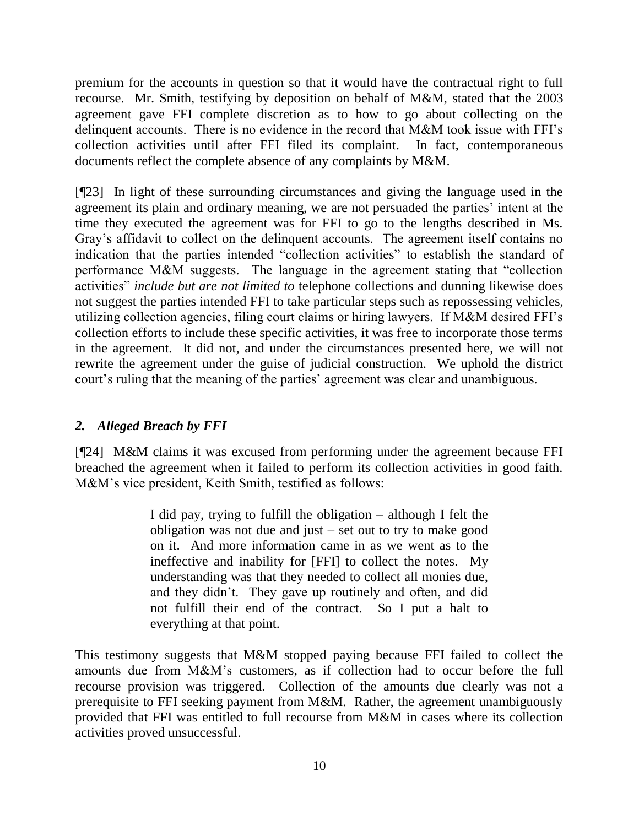premium for the accounts in question so that it would have the contractual right to full recourse. Mr. Smith, testifying by deposition on behalf of M&M, stated that the 2003 agreement gave FFI complete discretion as to how to go about collecting on the delinquent accounts. There is no evidence in the record that M&M took issue with FFI"s collection activities until after FFI filed its complaint. In fact, contemporaneous documents reflect the complete absence of any complaints by M&M.

[¶23] In light of these surrounding circumstances and giving the language used in the agreement its plain and ordinary meaning, we are not persuaded the parties' intent at the time they executed the agreement was for FFI to go to the lengths described in Ms. Gray"s affidavit to collect on the delinquent accounts. The agreement itself contains no indication that the parties intended "collection activities" to establish the standard of performance M&M suggests. The language in the agreement stating that "collection activities" *include but are not limited to* telephone collections and dunning likewise does not suggest the parties intended FFI to take particular steps such as repossessing vehicles, utilizing collection agencies, filing court claims or hiring lawyers. If M&M desired FFI"s collection efforts to include these specific activities, it was free to incorporate those terms in the agreement. It did not, and under the circumstances presented here, we will not rewrite the agreement under the guise of judicial construction. We uphold the district court's ruling that the meaning of the parties' agreement was clear and unambiguous.

# *2. Alleged Breach by FFI*

[¶24] M&M claims it was excused from performing under the agreement because FFI breached the agreement when it failed to perform its collection activities in good faith. M&M"s vice president, Keith Smith, testified as follows:

> I did pay, trying to fulfill the obligation – although I felt the obligation was not due and just – set out to try to make good on it. And more information came in as we went as to the ineffective and inability for [FFI] to collect the notes. My understanding was that they needed to collect all monies due, and they didn"t. They gave up routinely and often, and did not fulfill their end of the contract. So I put a halt to everything at that point.

This testimony suggests that M&M stopped paying because FFI failed to collect the amounts due from M&M"s customers, as if collection had to occur before the full recourse provision was triggered. Collection of the amounts due clearly was not a prerequisite to FFI seeking payment from M&M. Rather, the agreement unambiguously provided that FFI was entitled to full recourse from M&M in cases where its collection activities proved unsuccessful.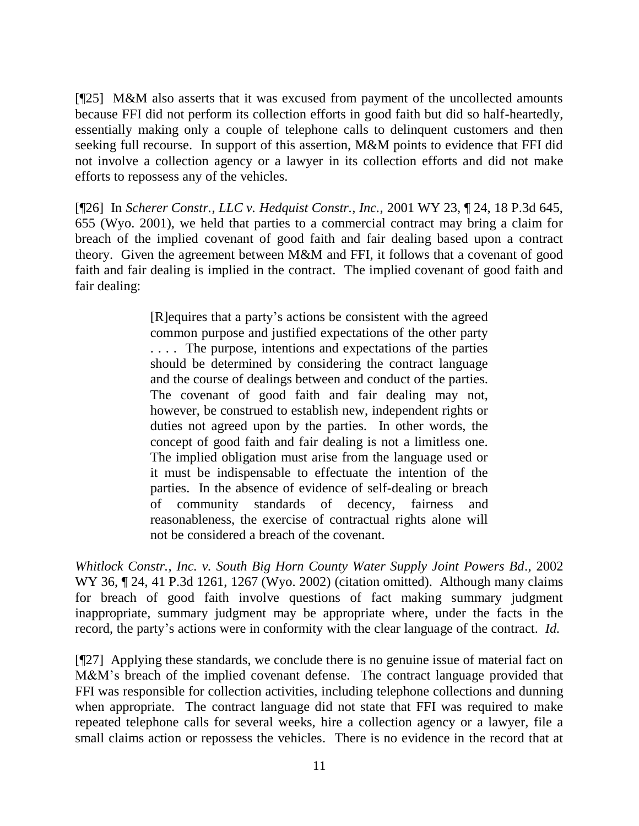[¶25] M&M also asserts that it was excused from payment of the uncollected amounts because FFI did not perform its collection efforts in good faith but did so half-heartedly, essentially making only a couple of telephone calls to delinquent customers and then seeking full recourse. In support of this assertion, M&M points to evidence that FFI did not involve a collection agency or a lawyer in its collection efforts and did not make efforts to repossess any of the vehicles.

[¶26] In *Scherer Constr., LLC v. Hedquist Constr., Inc.,* 2001 WY 23, ¶ 24, 18 P.3d 645, 655 (Wyo. 2001), we held that parties to a commercial contract may bring a claim for breach of the implied covenant of good faith and fair dealing based upon a contract theory. Given the agreement between M&M and FFI, it follows that a covenant of good faith and fair dealing is implied in the contract. The implied covenant of good faith and fair dealing:

> [R]equires that a party"s actions be consistent with the agreed common purpose and justified expectations of the other party . . . . The purpose, intentions and expectations of the parties should be determined by considering the contract language and the course of dealings between and conduct of the parties. The covenant of good faith and fair dealing may not, however, be construed to establish new, independent rights or duties not agreed upon by the parties. In other words, the concept of good faith and fair dealing is not a limitless one. The implied obligation must arise from the language used or it must be indispensable to effectuate the intention of the parties. In the absence of evidence of self-dealing or breach of community standards of decency, fairness and reasonableness, the exercise of contractual rights alone will not be considered a breach of the covenant.

*Whitlock Constr., Inc. v. South Big Horn County Water Supply Joint Powers Bd*., 2002 WY 36, ¶ 24, 41 P.3d 1261, 1267 (Wyo. 2002) (citation omitted). Although many claims for breach of good faith involve questions of fact making summary judgment inappropriate, summary judgment may be appropriate where, under the facts in the record, the party's actions were in conformity with the clear language of the contract. *Id*.

[¶27] Applying these standards, we conclude there is no genuine issue of material fact on M&M's breach of the implied covenant defense. The contract language provided that FFI was responsible for collection activities, including telephone collections and dunning when appropriate. The contract language did not state that FFI was required to make repeated telephone calls for several weeks, hire a collection agency or a lawyer, file a small claims action or repossess the vehicles. There is no evidence in the record that at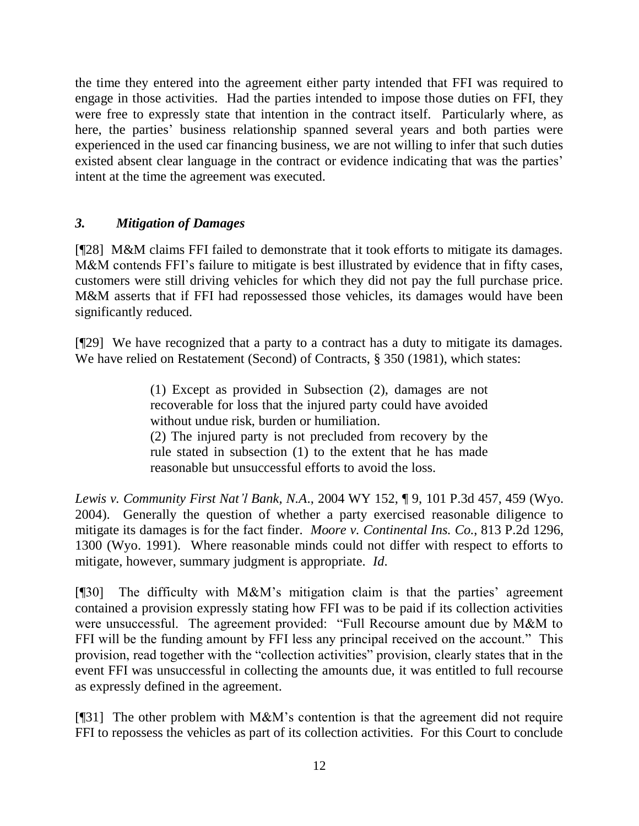the time they entered into the agreement either party intended that FFI was required to engage in those activities. Had the parties intended to impose those duties on FFI, they were free to expressly state that intention in the contract itself. Particularly where, as here, the parties' business relationship spanned several years and both parties were experienced in the used car financing business, we are not willing to infer that such duties existed absent clear language in the contract or evidence indicating that was the parties' intent at the time the agreement was executed.

## *3. Mitigation of Damages*

[¶28] M&M claims FFI failed to demonstrate that it took efforts to mitigate its damages. M&M contends FFI's failure to mitigate is best illustrated by evidence that in fifty cases, customers were still driving vehicles for which they did not pay the full purchase price. M&M asserts that if FFI had repossessed those vehicles, its damages would have been significantly reduced.

[¶29] We have recognized that a party to a contract has a duty to mitigate its damages. We have relied on Restatement (Second) of Contracts, § 350 (1981), which states:

> (1) Except as provided in Subsection (2), damages are not recoverable for loss that the injured party could have avoided without undue risk, burden or humiliation. (2) The injured party is not precluded from recovery by the rule stated in subsection (1) to the extent that he has made

reasonable but unsuccessful efforts to avoid the loss.

*Lewis v. Community First Nat'l Bank, N.A*., 2004 WY 152, ¶ 9, 101 P.3d 457, 459 (Wyo. 2004). Generally the question of whether a party exercised reasonable diligence to mitigate its damages is for the fact finder. *Moore v. Continental Ins. Co*., 813 P.2d 1296, 1300 (Wyo. 1991). Where reasonable minds could not differ with respect to efforts to mitigate, however, summary judgment is appropriate. *Id*.

 $[$ [[30] The difficulty with M&M's mitigation claim is that the parties' agreement contained a provision expressly stating how FFI was to be paid if its collection activities were unsuccessful. The agreement provided: "Full Recourse amount due by M&M to FFI will be the funding amount by FFI less any principal received on the account." This provision, read together with the "collection activities" provision, clearly states that in the event FFI was unsuccessful in collecting the amounts due, it was entitled to full recourse as expressly defined in the agreement.

[¶31] The other problem with M&M"s contention is that the agreement did not require FFI to repossess the vehicles as part of its collection activities. For this Court to conclude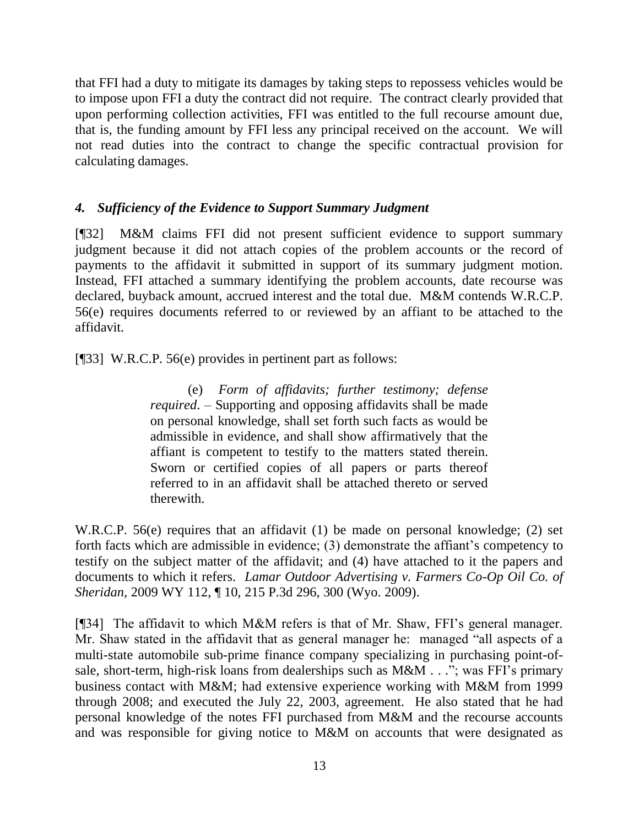that FFI had a duty to mitigate its damages by taking steps to repossess vehicles would be to impose upon FFI a duty the contract did not require. The contract clearly provided that upon performing collection activities, FFI was entitled to the full recourse amount due, that is, the funding amount by FFI less any principal received on the account. We will not read duties into the contract to change the specific contractual provision for calculating damages.

## *4. Sufficiency of the Evidence to Support Summary Judgment*

[¶32] M&M claims FFI did not present sufficient evidence to support summary judgment because it did not attach copies of the problem accounts or the record of payments to the affidavit it submitted in support of its summary judgment motion. Instead, FFI attached a summary identifying the problem accounts, date recourse was declared, buyback amount, accrued interest and the total due. M&M contends W.R.C.P. 56(e) requires documents referred to or reviewed by an affiant to be attached to the affidavit.

[¶33] W.R.C.P. 56(e) provides in pertinent part as follows:

(e) *Form of affidavits; further testimony; defense required*. – Supporting and opposing affidavits shall be made on personal knowledge, shall set forth such facts as would be admissible in evidence, and shall show affirmatively that the affiant is competent to testify to the matters stated therein. Sworn or certified copies of all papers or parts thereof referred to in an affidavit shall be attached thereto or served therewith.

W.R.C.P. 56(e) requires that an affidavit (1) be made on personal knowledge; (2) set forth facts which are admissible in evidence; (3) demonstrate the affiant's competency to testify on the subject matter of the affidavit; and (4) have attached to it the papers and documents to which it refers. *Lamar Outdoor Advertising v. Farmers Co-Op Oil Co. of Sheridan*, 2009 WY 112, ¶ 10, 215 P.3d 296, 300 (Wyo. 2009).

[¶34] The affidavit to which M&M refers is that of Mr. Shaw, FFI"s general manager. Mr. Shaw stated in the affidavit that as general manager he: managed "all aspects of a multi-state automobile sub-prime finance company specializing in purchasing point-ofsale, short-term, high-risk loans from dealerships such as M&M . . ."; was FFI's primary business contact with M&M; had extensive experience working with M&M from 1999 through 2008; and executed the July 22, 2003, agreement. He also stated that he had personal knowledge of the notes FFI purchased from M&M and the recourse accounts and was responsible for giving notice to M&M on accounts that were designated as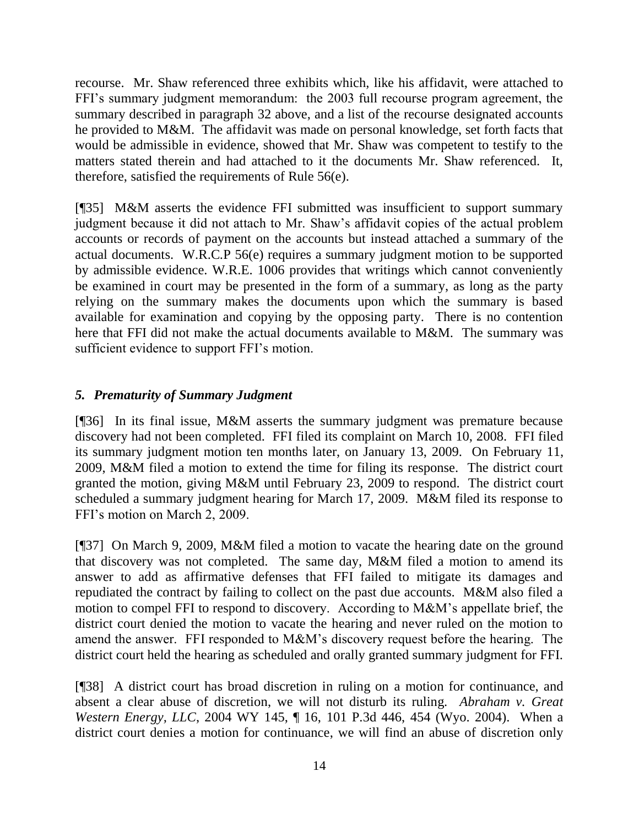recourse. Mr. Shaw referenced three exhibits which, like his affidavit, were attached to FFI"s summary judgment memorandum: the 2003 full recourse program agreement, the summary described in paragraph 32 above, and a list of the recourse designated accounts he provided to M&M. The affidavit was made on personal knowledge, set forth facts that would be admissible in evidence, showed that Mr. Shaw was competent to testify to the matters stated therein and had attached to it the documents Mr. Shaw referenced. It, therefore, satisfied the requirements of Rule 56(e).

[¶35] M&M asserts the evidence FFI submitted was insufficient to support summary judgment because it did not attach to Mr. Shaw"s affidavit copies of the actual problem accounts or records of payment on the accounts but instead attached a summary of the actual documents. W.R.C.P 56(e) requires a summary judgment motion to be supported by admissible evidence. W.R.E. 1006 provides that writings which cannot conveniently be examined in court may be presented in the form of a summary, as long as the party relying on the summary makes the documents upon which the summary is based available for examination and copying by the opposing party. There is no contention here that FFI did not make the actual documents available to M&M. The summary was sufficient evidence to support FFI's motion.

## *5. Prematurity of Summary Judgment*

[¶36] In its final issue, M&M asserts the summary judgment was premature because discovery had not been completed. FFI filed its complaint on March 10, 2008. FFI filed its summary judgment motion ten months later, on January 13, 2009. On February 11, 2009, M&M filed a motion to extend the time for filing its response. The district court granted the motion, giving M&M until February 23, 2009 to respond. The district court scheduled a summary judgment hearing for March 17, 2009. M&M filed its response to FFI"s motion on March 2, 2009.

[¶37] On March 9, 2009, M&M filed a motion to vacate the hearing date on the ground that discovery was not completed. The same day, M&M filed a motion to amend its answer to add as affirmative defenses that FFI failed to mitigate its damages and repudiated the contract by failing to collect on the past due accounts. M&M also filed a motion to compel FFI to respond to discovery. According to M&M"s appellate brief, the district court denied the motion to vacate the hearing and never ruled on the motion to amend the answer. FFI responded to M&M"s discovery request before the hearing. The district court held the hearing as scheduled and orally granted summary judgment for FFI.

[¶38] A district court has broad discretion in ruling on a motion for continuance, and absent a clear abuse of discretion, we will not disturb its ruling. *Abraham v. Great Western Energy, LLC*, 2004 WY 145, ¶ 16, 101 P.3d 446, 454 (Wyo. 2004). When a district court denies a motion for continuance, we will find an abuse of discretion only